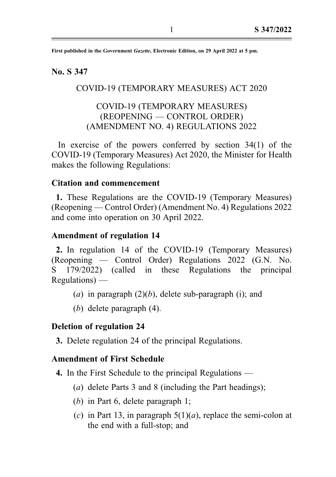First published in the Government Gazette, Electronic Edition, on 29 April 2022 at 5 pm.

# No. S 347

# COVID-19 (TEMPORARY MEASURES) ACT 2020

# COVID-19 (TEMPORARY MEASURES) (REOPENING — CONTROL ORDER) (AMENDMENT NO. 4) REGULATIONS 2022

In exercise of the powers conferred by section 34(1) of the COVID-19 (Temporary Measures) Act 2020, the Minister for Health makes the following Regulations:

### Citation and commencement

1. These Regulations are the COVID-19 (Temporary Measures) (Reopening — Control Order) (Amendment No. 4) Regulations 2022 and come into operation on 30 April 2022.

#### Amendment of regulation 14

2. In regulation 14 of the COVID-19 (Temporary Measures) (Reopening — Control Order) Regulations 2022 (G.N. No. S 179/2022) (called in these Regulations the principal Regulations) —

- (a) in paragraph  $(2)(b)$ , delete sub-paragraph (i); and
- (b) delete paragraph (4).

#### Deletion of regulation 24

3. Delete regulation 24 of the principal Regulations.

#### Amendment of First Schedule

- 4. In the First Schedule to the principal Regulations
	- (a) delete Parts 3 and 8 (including the Part headings);
	- (b) in Part 6, delete paragraph 1;
	- (c) in Part 13, in paragraph  $5(1)(a)$ , replace the semi-colon at the end with a full-stop; and